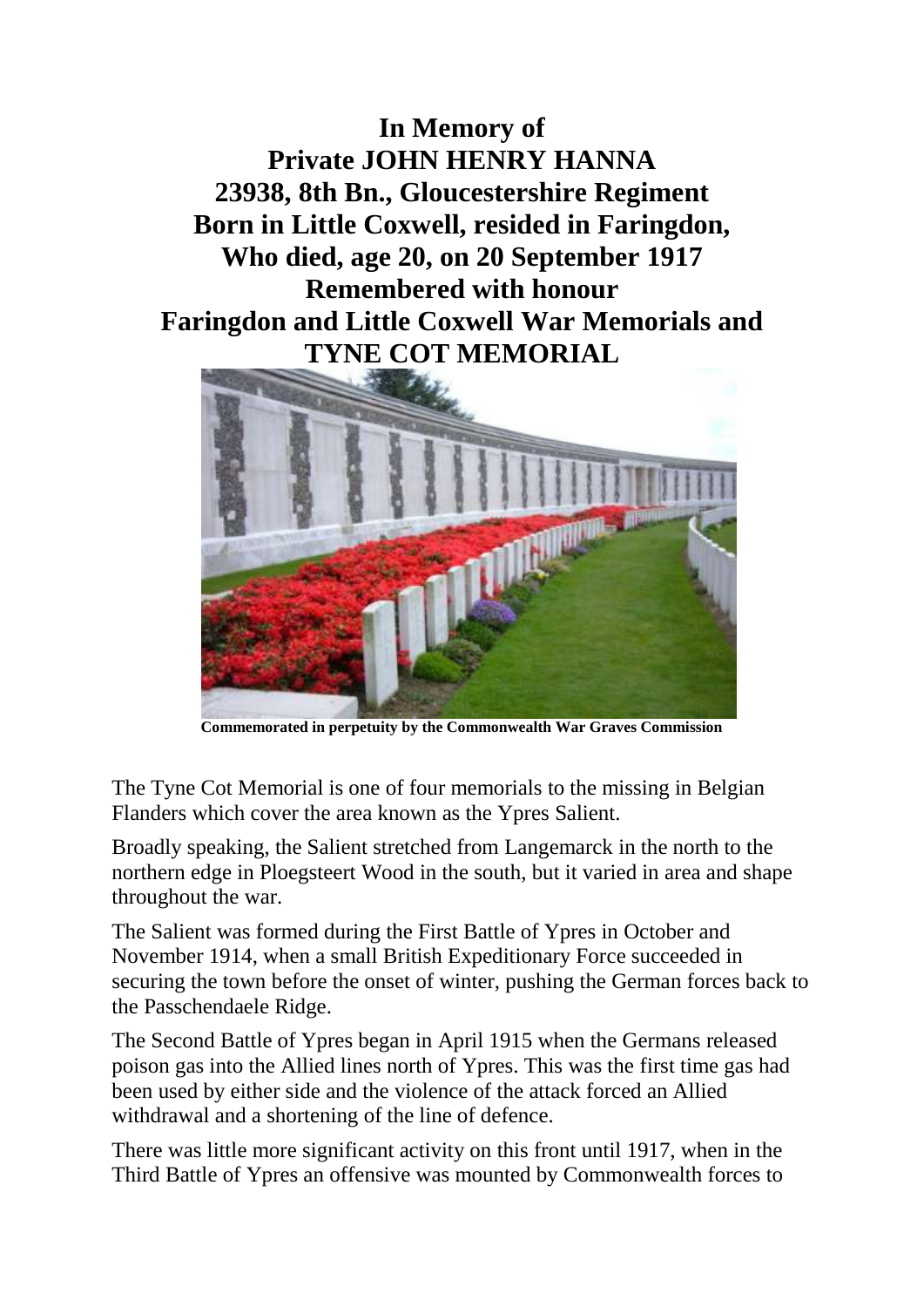**In Memory of Private JOHN HENRY HANNA 23938, 8th Bn., Gloucestershire Regiment Born in Little Coxwell, resided in Faringdon, Who died, age 20, on 20 September 1917 Remembered with honour Faringdon and Little Coxwell War Memorials and TYNE COT MEMORIAL**



**Commemorated in perpetuity by the Commonwealth War Graves Commission**

The Tyne Cot Memorial is one of four memorials to the missing in Belgian Flanders which cover the area known as the Ypres Salient.

Broadly speaking, the Salient stretched from Langemarck in the north to the northern edge in Ploegsteert Wood in the south, but it varied in area and shape throughout the war.

The Salient was formed during the First Battle of Ypres in October and November 1914, when a small British Expeditionary Force succeeded in securing the town before the onset of winter, pushing the German forces back to the Passchendaele Ridge.

The Second Battle of Ypres began in April 1915 when the Germans released poison gas into the Allied lines north of Ypres. This was the first time gas had been used by either side and the violence of the attack forced an Allied withdrawal and a shortening of the line of defence.

There was little more significant activity on this front until 1917, when in the Third Battle of Ypres an offensive was mounted by Commonwealth forces to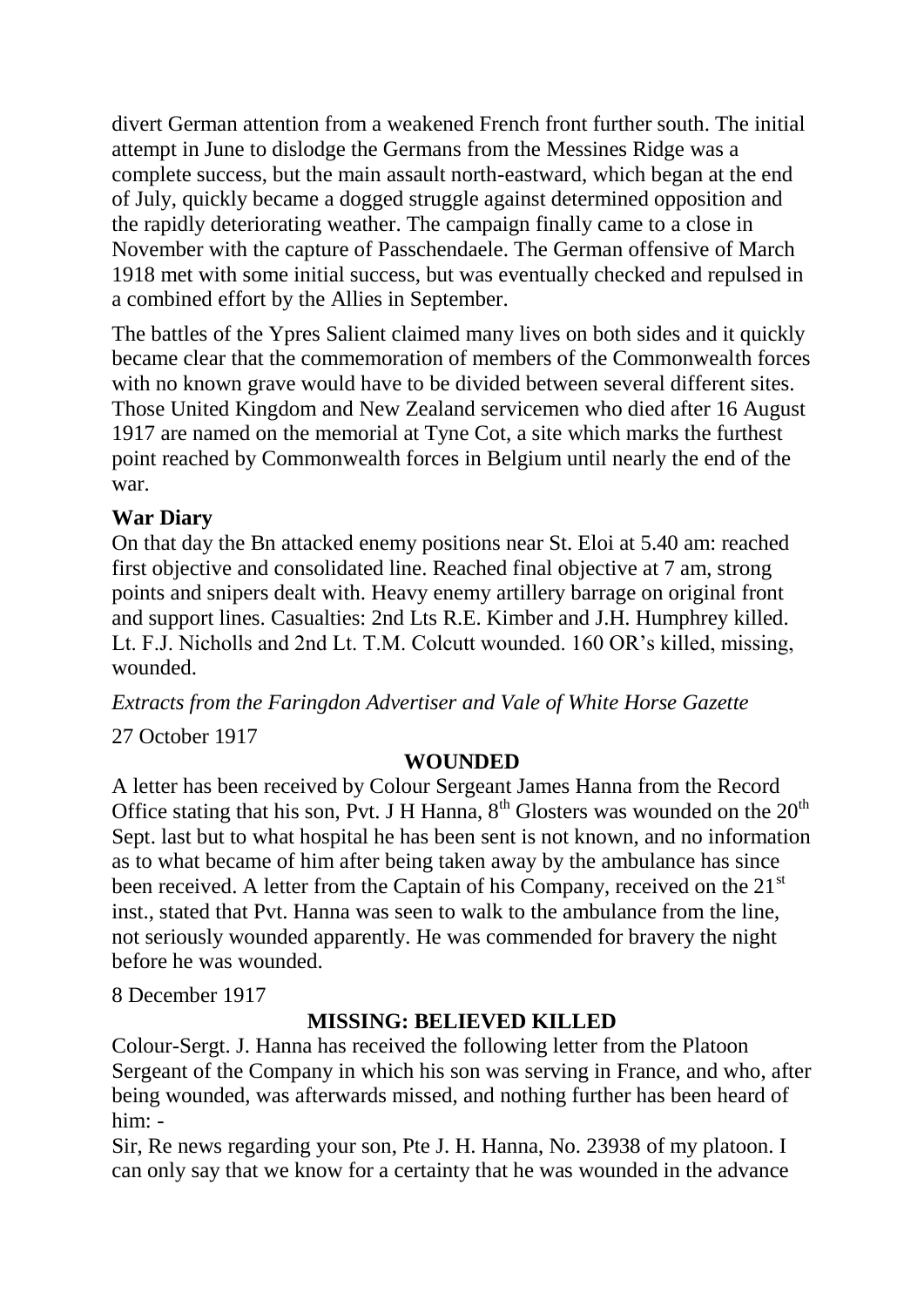divert German attention from a weakened French front further south. The initial attempt in June to dislodge the Germans from the Messines Ridge was a complete success, but the main assault north-eastward, which began at the end of July, quickly became a dogged struggle against determined opposition and the rapidly deteriorating weather. The campaign finally came to a close in November with the capture of Passchendaele. The German offensive of March 1918 met with some initial success, but was eventually checked and repulsed in a combined effort by the Allies in September.

The battles of the Ypres Salient claimed many lives on both sides and it quickly became clear that the commemoration of members of the Commonwealth forces with no known grave would have to be divided between several different sites. Those United Kingdom and New Zealand servicemen who died after 16 August 1917 are named on the memorial at Tyne Cot, a site which marks the furthest point reached by Commonwealth forces in Belgium until nearly the end of the war.

## **War Diary**

On that day the Bn attacked enemy positions near St. Eloi at 5.40 am: reached first objective and consolidated line. Reached final objective at 7 am, strong points and snipers dealt with. Heavy enemy artillery barrage on original front and support lines. Casualties: 2nd Lts R.E. Kimber and J.H. Humphrey killed. Lt. F.J. Nicholls and 2nd Lt. T.M. Colcutt wounded. 160 OR's killed, missing, wounded.

*Extracts from the Faringdon Advertiser and Vale of White Horse Gazette*

27 October 1917

## **WOUNDED**

A letter has been received by Colour Sergeant James Hanna from the Record Office stating that his son, Pvt. J H Hanna,  $8<sup>th</sup>$  Glosters was wounded on the  $20<sup>th</sup>$ Sept. last but to what hospital he has been sent is not known, and no information as to what became of him after being taken away by the ambulance has since been received. A letter from the Captain of his Company, received on the 21<sup>st</sup> inst., stated that Pvt. Hanna was seen to walk to the ambulance from the line, not seriously wounded apparently. He was commended for bravery the night before he was wounded.

8 December 1917

## **MISSING: BELIEVED KILLED**

Colour-Sergt. J. Hanna has received the following letter from the Platoon Sergeant of the Company in which his son was serving in France, and who, after being wounded, was afterwards missed, and nothing further has been heard of him: -

Sir, Re news regarding your son, Pte J. H. Hanna, No. 23938 of my platoon. I can only say that we know for a certainty that he was wounded in the advance